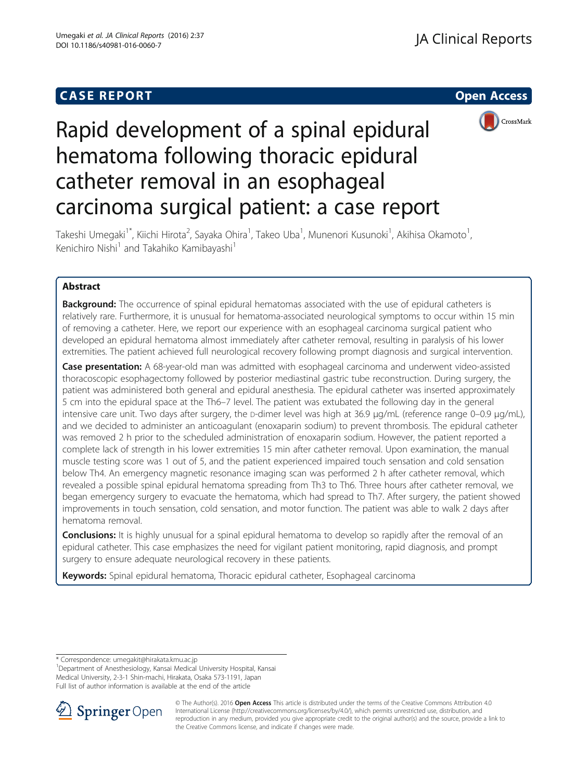## **CASE REPORT CASE REPORT** And the contract of the contract of the contract of the contract of the contract of the contract of the contract of the contract of the contract of the contract of the contract of the contract of





# Rapid development of a spinal epidural hematoma following thoracic epidural catheter removal in an esophageal carcinoma surgical patient: a case report

Takeshi Umegaki<sup>1\*</sup>, Kiichi Hirota<sup>2</sup>, Sayaka Ohira<sup>1</sup>, Takeo Uba<sup>1</sup>, Munenori Kusunoki<sup>1</sup>, Akihisa Okamoto<sup>1</sup> , Kenichiro Nishi<sup>1</sup> and Takahiko Kamibayashi<sup>1</sup>

## Abstract

**Background:** The occurrence of spinal epidural hematomas associated with the use of epidural catheters is relatively rare. Furthermore, it is unusual for hematoma-associated neurological symptoms to occur within 15 min of removing a catheter. Here, we report our experience with an esophageal carcinoma surgical patient who developed an epidural hematoma almost immediately after catheter removal, resulting in paralysis of his lower extremities. The patient achieved full neurological recovery following prompt diagnosis and surgical intervention.

Case presentation: A 68-year-old man was admitted with esophageal carcinoma and underwent video-assisted thoracoscopic esophagectomy followed by posterior mediastinal gastric tube reconstruction. During surgery, the patient was administered both general and epidural anesthesia. The epidural catheter was inserted approximately 5 cm into the epidural space at the Th6–7 level. The patient was extubated the following day in the general intensive care unit. Two days after surgery, the p-dimer level was high at 36.9 μg/mL (reference range 0–0.9 μg/mL), and we decided to administer an anticoagulant (enoxaparin sodium) to prevent thrombosis. The epidural catheter was removed 2 h prior to the scheduled administration of enoxaparin sodium. However, the patient reported a complete lack of strength in his lower extremities 15 min after catheter removal. Upon examination, the manual muscle testing score was 1 out of 5, and the patient experienced impaired touch sensation and cold sensation below Th4. An emergency magnetic resonance imaging scan was performed 2 h after catheter removal, which revealed a possible spinal epidural hematoma spreading from Th3 to Th6. Three hours after catheter removal, we began emergency surgery to evacuate the hematoma, which had spread to Th7. After surgery, the patient showed improvements in touch sensation, cold sensation, and motor function. The patient was able to walk 2 days after hematoma removal.

**Conclusions:** It is highly unusual for a spinal epidural hematoma to develop so rapidly after the removal of an epidural catheter. This case emphasizes the need for vigilant patient monitoring, rapid diagnosis, and prompt surgery to ensure adequate neurological recovery in these patients.

Keywords: Spinal epidural hematoma, Thoracic epidural catheter, Esophageal carcinoma

\* Correspondence: [umegakit@hirakata.kmu.ac.jp](mailto:umegakit@hirakata.kmu.ac.jp) <sup>1</sup>

<sup>1</sup>Department of Anesthesiology, Kansai Medical University Hospital, Kansai Medical University, 2-3-1 Shin-machi, Hirakata, Osaka 573-1191, Japan Full list of author information is available at the end of the article



© The Author(s). 2016 Open Access This article is distributed under the terms of the Creative Commons Attribution 4.0 International License ([http://creativecommons.org/licenses/by/4.0/\)](http://creativecommons.org/licenses/by/4.0/), which permits unrestricted use, distribution, and reproduction in any medium, provided you give appropriate credit to the original author(s) and the source, provide a link to the Creative Commons license, and indicate if changes were made.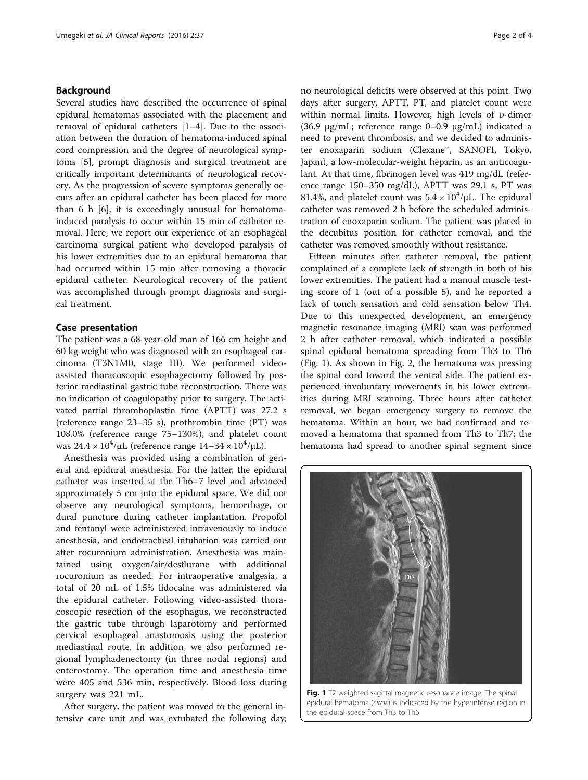### Background

Several studies have described the occurrence of spinal epidural hematomas associated with the placement and removal of epidural catheters [\[1](#page-3-0)–[4\]](#page-3-0). Due to the association between the duration of hematoma-induced spinal cord compression and the degree of neurological symptoms [[5\]](#page-3-0), prompt diagnosis and surgical treatment are critically important determinants of neurological recovery. As the progression of severe symptoms generally occurs after an epidural catheter has been placed for more than 6 h [\[6](#page-3-0)], it is exceedingly unusual for hematomainduced paralysis to occur within 15 min of catheter removal. Here, we report our experience of an esophageal carcinoma surgical patient who developed paralysis of his lower extremities due to an epidural hematoma that had occurred within 15 min after removing a thoracic epidural catheter. Neurological recovery of the patient was accomplished through prompt diagnosis and surgical treatment.

## Case presentation

The patient was a 68-year-old man of 166 cm height and 60 kg weight who was diagnosed with an esophageal carcinoma (T3N1M0, stage III). We performed videoassisted thoracoscopic esophagectomy followed by posterior mediastinal gastric tube reconstruction. There was no indication of coagulopathy prior to surgery. The activated partial thromboplastin time (APTT) was 27.2 s (reference range 23–35 s), prothrombin time (PT) was 108.0% (reference range 75–130%), and platelet count was  $24.4 \times 10^4/\mu$ L (reference range  $14-34 \times 10^4/\mu$ L).

Anesthesia was provided using a combination of general and epidural anesthesia. For the latter, the epidural catheter was inserted at the Th6–7 level and advanced approximately 5 cm into the epidural space. We did not observe any neurological symptoms, hemorrhage, or dural puncture during catheter implantation. Propofol and fentanyl were administered intravenously to induce anesthesia, and endotracheal intubation was carried out after rocuronium administration. Anesthesia was maintained using oxygen/air/desflurane with additional rocuronium as needed. For intraoperative analgesia, a total of 20 mL of 1.5% lidocaine was administered via the epidural catheter. Following video-assisted thoracoscopic resection of the esophagus, we reconstructed the gastric tube through laparotomy and performed cervical esophageal anastomosis using the posterior mediastinal route. In addition, we also performed regional lymphadenectomy (in three nodal regions) and enterostomy. The operation time and anesthesia time were 405 and 536 min, respectively. Blood loss during surgery was 221 mL.

After surgery, the patient was moved to the general intensive care unit and was extubated the following day; no neurological deficits were observed at this point. Two days after surgery, APTT, PT, and platelet count were within normal limits. However, high levels of D-dimer (36.9 μg/mL; reference range 0–0.9 μg/mL) indicated a need to prevent thrombosis, and we decided to administer enoxaparin sodium (Clexane™, SANOFI, Tokyo, Japan), a low-molecular-weight heparin, as an anticoagulant. At that time, fibrinogen level was 419 mg/dL (reference range 150–350 mg/dL), APTT was 29.1 s, PT was 81.4%, and platelet count was  $5.4 \times 10^4/\mu$ L. The epidural catheter was removed 2 h before the scheduled administration of enoxaparin sodium. The patient was placed in the decubitus position for catheter removal, and the catheter was removed smoothly without resistance.

Fifteen minutes after catheter removal, the patient complained of a complete lack of strength in both of his lower extremities. The patient had a manual muscle testing score of 1 (out of a possible 5), and he reported a lack of touch sensation and cold sensation below Th4. Due to this unexpected development, an emergency magnetic resonance imaging (MRI) scan was performed 2 h after catheter removal, which indicated a possible spinal epidural hematoma spreading from Th3 to Th6 (Fig. 1). As shown in Fig. [2,](#page-2-0) the hematoma was pressing the spinal cord toward the ventral side. The patient experienced involuntary movements in his lower extremities during MRI scanning. Three hours after catheter removal, we began emergency surgery to remove the hematoma. Within an hour, we had confirmed and removed a hematoma that spanned from Th3 to Th7; the hematoma had spread to another spinal segment since



Fig. 1 T2-weighted sagittal magnetic resonance image. The spinal epidural hematoma (circle) is indicated by the hyperintense region in the epidural space from Th3 to Th6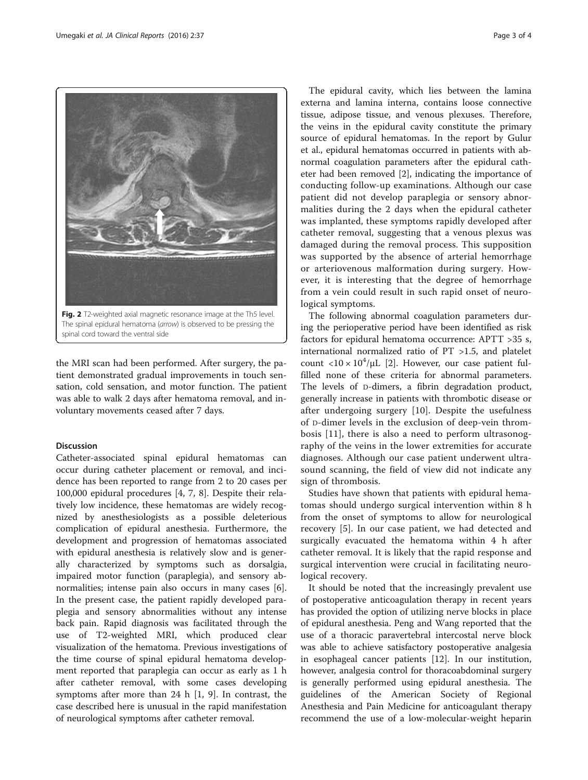<span id="page-2-0"></span>

spinal cord toward the ventral side

the MRI scan had been performed. After surgery, the patient demonstrated gradual improvements in touch sensation, cold sensation, and motor function. The patient was able to walk 2 days after hematoma removal, and involuntary movements ceased after 7 days.

## Discussion

Catheter-associated spinal epidural hematomas can occur during catheter placement or removal, and incidence has been reported to range from 2 to 20 cases per 100,000 epidural procedures [\[4](#page-3-0), [7, 8](#page-3-0)]. Despite their relatively low incidence, these hematomas are widely recognized by anesthesiologists as a possible deleterious complication of epidural anesthesia. Furthermore, the development and progression of hematomas associated with epidural anesthesia is relatively slow and is generally characterized by symptoms such as dorsalgia, impaired motor function (paraplegia), and sensory abnormalities; intense pain also occurs in many cases [\[6](#page-3-0)]. In the present case, the patient rapidly developed paraplegia and sensory abnormalities without any intense back pain. Rapid diagnosis was facilitated through the use of T2-weighted MRI, which produced clear visualization of the hematoma. Previous investigations of the time course of spinal epidural hematoma development reported that paraplegia can occur as early as 1 h after catheter removal, with some cases developing symptoms after more than 24 h [[1, 9\]](#page-3-0). In contrast, the case described here is unusual in the rapid manifestation of neurological symptoms after catheter removal.

The epidural cavity, which lies between the lamina externa and lamina interna, contains loose connective tissue, adipose tissue, and venous plexuses. Therefore, the veins in the epidural cavity constitute the primary source of epidural hematomas. In the report by Gulur et al., epidural hematomas occurred in patients with abnormal coagulation parameters after the epidural catheter had been removed [[2\]](#page-3-0), indicating the importance of conducting follow-up examinations. Although our case patient did not develop paraplegia or sensory abnormalities during the 2 days when the epidural catheter was implanted, these symptoms rapidly developed after catheter removal, suggesting that a venous plexus was damaged during the removal process. This supposition was supported by the absence of arterial hemorrhage or arteriovenous malformation during surgery. However, it is interesting that the degree of hemorrhage from a vein could result in such rapid onset of neurological symptoms.

The following abnormal coagulation parameters during the perioperative period have been identified as risk factors for epidural hematoma occurrence: APTT >35 s, international normalized ratio of PT >1.5, and platelet count <10 ×  $10^4/\mu$ L [\[2](#page-3-0)]. However, our case patient fulfilled none of these criteria for abnormal parameters. The levels of D-dimers, a fibrin degradation product, generally increase in patients with thrombotic disease or after undergoing surgery [[10\]](#page-3-0). Despite the usefulness of D-dimer levels in the exclusion of deep-vein thrombosis [[11\]](#page-3-0), there is also a need to perform ultrasonography of the veins in the lower extremities for accurate diagnoses. Although our case patient underwent ultrasound scanning, the field of view did not indicate any sign of thrombosis.

Studies have shown that patients with epidural hematomas should undergo surgical intervention within 8 h from the onset of symptoms to allow for neurological recovery [\[5](#page-3-0)]. In our case patient, we had detected and surgically evacuated the hematoma within 4 h after catheter removal. It is likely that the rapid response and surgical intervention were crucial in facilitating neurological recovery.

It should be noted that the increasingly prevalent use of postoperative anticoagulation therapy in recent years has provided the option of utilizing nerve blocks in place of epidural anesthesia. Peng and Wang reported that the use of a thoracic paravertebral intercostal nerve block was able to achieve satisfactory postoperative analgesia in esophageal cancer patients [\[12](#page-3-0)]. In our institution, however, analgesia control for thoracoabdominal surgery is generally performed using epidural anesthesia. The guidelines of the American Society of Regional Anesthesia and Pain Medicine for anticoagulant therapy recommend the use of a low-molecular-weight heparin